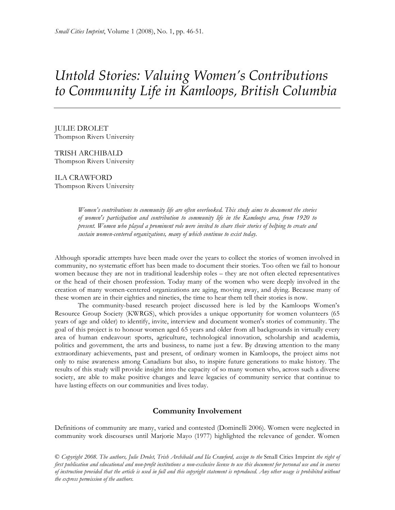# *Untold Stories: Valuing Women's Contributions to Community Life in Kamloops, British Columbia*

JULIE DROLET Thompson Rivers University

TRISH ARCHIBALD Thompson Rivers University

ILA CRAWFORD Thompson Rivers University

> *Women's contributions to community life are often overlooked. This study aims to document the stories of women's participation and contribution to community life in the Kamloops area, from 1920 to present. Women who played a prominent role were invited to share their stories of helping to create and sustain women-centered organizations, many of which continue to exist today.*

Although sporadic attempts have been made over the years to collect the stories of women involved in community, no systematic effort has been made to document their stories. Too often we fail to honour women because they are not in traditional leadership roles – they are not often elected representatives or the head of their chosen profession. Today many of the women who were deeply involved in the creation of many women-centered organizations are aging, moving away, and dying. Because many of these women are in their eighties and nineties, the time to hear them tell their stories is now.

The community-based research project discussed here is led by the Kamloops Women's Resource Group Society (KWRGS), which provides a unique opportunity for women volunteers (65 years of age and older) to identify, invite, interview and document women's stories of community. The goal of this project is to honour women aged 65 years and older from all backgrounds in virtually every area of human endeavour: sports, agriculture, technological innovation, scholarship and academia, politics and government, the arts and business, to name just a few. By drawing attention to the many extraordinary achievements, past and present, of ordinary women in Kamloops, the project aims not only to raise awareness among Canadians but also, to inspire future generations to make history. The results of this study will provide insight into the capacity of so many women who, across such a diverse society, are able to make positive changes and leave legacies of community service that continue to have lasting effects on our communities and lives today.

## **Community Involvement**

Definitions of community are many, varied and contested (Dominelli 2006). Women were neglected in community work discourses until Marjorie Mayo (1977) highlighted the relevance of gender. Women

© *Copyright 2008. The authors, Julie Drolet, Trish Archibald and Ila Crawford, assign to the* Small Cities Imprint *the right of first publication and educational and non-profit institutions a non-exclusive license to use this document for personal use and in courses of instruction provided that the article is used in full and this copyright statement is reproduced. Any other usage is prohibited without the express permission of the authors.*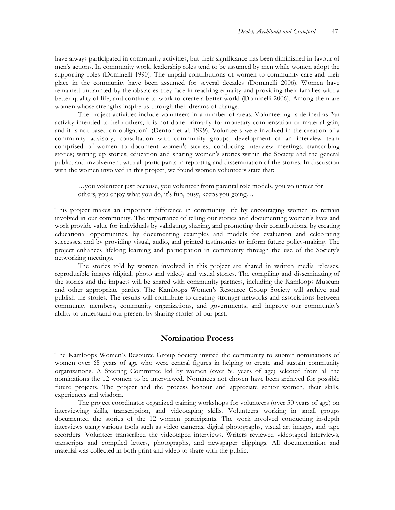have always participated in community activities, but their significance has been diminished in favour of men's actions. In community work, leadership roles tend to be assumed by men while women adopt the supporting roles (Dominelli 1990). The unpaid contributions of women to community care and their place in the community have been assumed for several decades (Dominelli 2006). Women have remained undaunted by the obstacles they face in reaching equality and providing their families with a better quality of life, and continue to work to create a better world (Dominelli 2006). Among them are women whose strengths inspire us through their dreams of change.

The project activities include volunteers in a number of areas. Volunteering is defined as "an activity intended to help others, it is not done primarily for monetary compensation or material gain, and it is not based on obligation" (Denton et al. 1999). Volunteers were involved in the creation of a community advisory; consultation with community groups; development of an interview team comprised of women to document women's stories; conducting interview meetings; transcribing stories; writing up stories; education and sharing women's stories within the Society and the general public; and involvement with all participants in reporting and dissemination of the stories. In discussion with the women involved in this project, we found women volunteers state that:

…you volunteer just because, you volunteer from parental role models, you volunteer for others, you enjoy what you do, it's fun, busy, keeps you going…

This project makes an important difference in community life by encouraging women to remain involved in our community. The importance of telling our stories and documenting women's lives and work provide value for individuals by validating, sharing, and promoting their contributions, by creating educational opportunities, by documenting examples and models for evaluation and celebrating successes, and by providing visual, audio, and printed testimonies to inform future policy-making. The project enhances lifelong learning and participation in community through the use of the Society's networking meetings.

The stories told by women involved in this project are shared in written media releases, reproducible images (digital, photo and video) and visual stories. The compiling and disseminating of the stories and the impacts will be shared with community partners, including the Kamloops Museum and other appropriate parties. The Kamloops Women's Resource Group Society will archive and publish the stories. The results will contribute to creating stronger networks and associations between community members, community organizations, and governments, and improve our community's ability to understand our present by sharing stories of our past.

### **Nomination Process**

The Kamloops Women's Resource Group Society invited the community to submit nominations of women over 65 years of age who were central figures in helping to create and sustain community organizations. A Steering Committee led by women (over 50 years of age) selected from all the nominations the 12 women to be interviewed. Nominees not chosen have been archived for possible future projects. The project and the process honour and appreciate senior women, their skills, experiences and wisdom.

The project coordinator organized training workshops for volunteers (over 50 years of age) on interviewing skills, transcription, and videotaping skills. Volunteers working in small groups documented the stories of the 12 women participants. The work involved conducting in-depth interviews using various tools such as video cameras, digital photographs, visual art images, and tape recorders. Volunteer transcribed the videotaped interviews. Writers reviewed videotaped interviews, transcripts and compiled letters, photographs, and newspaper clippings. All documentation and material was collected in both print and video to share with the public.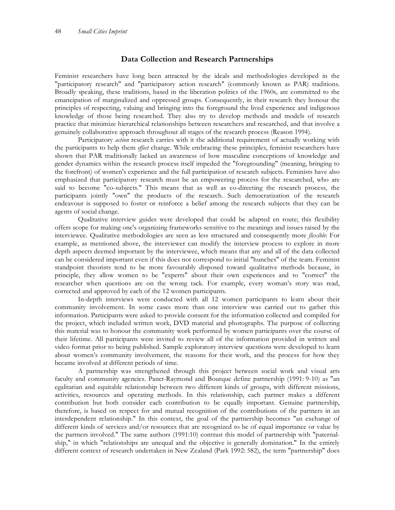## **Data Collection and Research Partnerships**

Feminist researchers have long been attracted by the ideals and methodologies developed in the "participatory research" and "participatory action research" (commonly known as PAR) traditions. Broadly speaking, these traditions, based in the liberation politics of the 1960s, are committed to the emancipation of marginalized and oppressed groups. Consequently, in their research they honour the principles of respecting, valuing and bringing into the foreground the lived experience and indigenous knowledge of those being researched. They also try to develop methods and models of research practice that minimize hierarchical relationships between researchers and researched, and that involve a genuinely collaborative approach throughout all stages of the research process (Reason 1994).

Participatory *action* research carries with it the additional requirement of actually working with the participants to help them *effect* change. While embracing these principles, feminist researchers have shown that PAR traditionally lacked an awareness of how masculine conceptions of knowledge and gender dynamics within the research process itself impeded the "foregrounding" (meaning, bringing to the forefront) of women's experience and the full participation of research subjects. Feminists have also emphasized that participatory research must be an empowering process for the researched, who are said to become "co-subjects." This means that as well as co-directing the research process, the participants jointly "own" the products of the research. Such democratization of the research endeavour is supposed to foster or reinforce a belief among the research subjects that they can be agents of social change.

Qualitative interview guides were developed that could be adapted en route; this flexibility offers scope for making one's organizing frameworks sensitive to the meanings and issues raised by the interviewee. Qualitative methodologies are seen as less structured and consequently more *flexible*: For example, as mentioned above, the interviewer can modify the interview process to explore in more depth aspects deemed important by the interviewee, which means that any and all of the data collected can be considered important even if this does not correspond to initial "hunches" of the team. Feminist standpoint theorists tend to be more favourably disposed toward qualitative methods because, in principle, they allow women to be "experts" about their own experiences and to "correct" the researcher when questions are on the wrong tack. For example, every woman's story was read, corrected and approved by each of the 12 women participants.

In-depth interviews were conducted with all 12 women participants to learn about their community involvement. In some cases more than one interview was carried out to gather this information. Participants were asked to provide consent for the information collected and compiled for the project, which included written work, DVD material and photographs. The purpose of collecting this material was to honour the community work performed by women participants over the course of their lifetime. All participants were invited to review all of the information provided in written and video format prior to being published. Sample exploratory interview questions were developed to learn about women's community involvement, the reasons for their work, and the process for how they became involved at different periods of time.

A partnership was strengthened through this project between social work and visual arts faculty and community agencies. Panet-Raymond and Bourque define partnership (1991: 9-10) as "an egalitarian and equitable relationship between two different kinds of groups, with different missions, activities, resources and operating methods. In this relationship, each partner makes a different contribution but both consider each contribution to be equally important. Genuine partnership, therefore, is based on respect for and mutual recognition of the contributions of the partners in an interdependent relationship." In this context, the goal of the partnership becomes "an exchange of different kinds of services and/or resources that are recognized to be of equal importance or value by the partners involved." The same authors (1991:10) contrast this model of partnership with "paternalship," in which "relationships are unequal and the objective is generally domination." In the entirely different context of research undertaken in New Zealand (Park 1992: 582), the term "partnership" does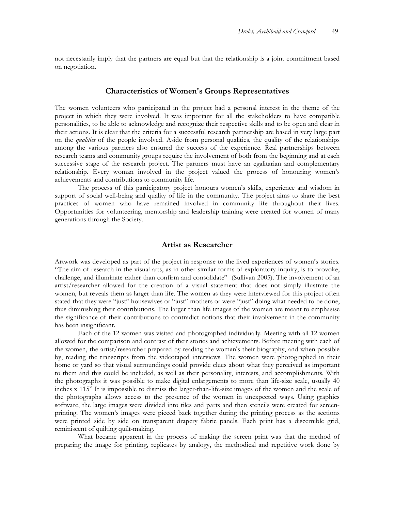not necessarily imply that the partners are equal but that the relationship is a joint commitment based on negotiation.

#### **Characteristics of Women's Groups Representatives**

The women volunteers who participated in the project had a personal interest in the theme of the project in which they were involved. It was important for all the stakeholders to have compatible personalities, to be able to acknowledge and recognize their respective skills and to be open and clear in their actions. It is clear that the criteria for a successful research partnership are based in very large part on the *qualities* of the people involved. Aside from personal qualities, the quality of the relationships among the various partners also ensured the success of the experience. Real partnerships between research teams and community groups require the involvement of both from the beginning and at each successive stage of the research project. The partners must have an egalitarian and complementary relationship. Every woman involved in the project valued the process of honouring women's achievements and contributions to community life.

The process of this participatory project honours women's skills, experience and wisdom in support of social well-being and quality of life in the community. The project aims to share the best practices of women who have remained involved in community life throughout their lives. Opportunities for volunteering, mentorship and leadership training were created for women of many generations through the Society.

## **Artist as Researcher**

Artwork was developed as part of the project in response to the lived experiences of women's stories. "The aim of research in the visual arts, as in other similar forms of exploratory inquiry, is to provoke, challenge, and illuminate rather than confirm and consolidate" (Sullivan 2005). The involvement of an artist/researcher allowed for the creation of a visual statement that does not simply illustrate the women, but reveals them as larger than life. The women as they were interviewed for this project often stated that they were "just" housewives or "just" mothers or were "just" doing what needed to be done, thus diminishing their contributions. The larger than life images of the women are meant to emphasise the significance of their contributions to contradict notions that their involvement in the community has been insignificant.

Each of the 12 women was visited and photographed individually. Meeting with all 12 women allowed for the comparison and contrast of their stories and achievements. Before meeting with each of the women, the artist/researcher prepared by reading the woman's their biography, and when possible by, reading the transcripts from the videotaped interviews. The women were photographed in their home or yard so that visual surroundings could provide clues about what they perceived as important to them and this could be included, as well as their personality, interests, and accomplishments. With the photographs it was possible to make digital enlargements to more than life-size scale, usually 40 inches x 115" It is impossible to dismiss the larger-than-life-size images of the women and the scale of the photographs allows access to the presence of the women in unexpected ways. Using graphics software, the large images were divided into tiles and parts and then stencils were created for screenprinting. The women's images were pieced back together during the printing process as the sections were printed side by side on transparent drapery fabric panels. Each print has a discernible grid, reminiscent of quilting quilt-making.

What became apparent in the process of making the screen print was that the method of preparing the image for printing, replicates by analogy, the methodical and repetitive work done by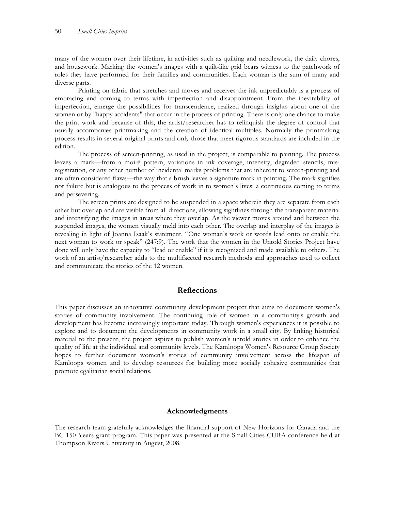many of the women over their lifetime, in activities such as quilting and needlework, the daily chores, and housework. Marking the women's images with a quilt-like grid bears witness to the patchwork of roles they have performed for their families and communities. Each woman is the sum of many and diverse parts.

Printing on fabric that stretches and moves and receives the ink unpredictably is a process of embracing and coming to terms with imperfection and disappointment. From the inevitability of imperfection, emerge the possibilities for transcendence, realized through insights about one of the women or by "happy accidents" that occur in the process of printing. There is only one chance to make the print work and because of this, the artist/researcher has to relinquish the degree of control that usually accompanies printmaking and the creation of identical multiples. Normally the printmaking process results in several original prints and only those that meet rigorous standards are included in the edition.

The process of screen-printing, as used in the project, is comparable to painting. The process leaves a mark—from a moiré pattern, variations in ink coverage, intensity, degraded stencils, misregistration, or any other number of incidental marks problems that are inherent to screen-printing and are often considered flaws—the way that a brush leaves a signature mark in painting. The mark signifies not failure but is analogous to the process of work in to women's lives: a continuous coming to terms and persevering.

The screen prints are designed to be suspended in a space wherein they are separate from each other but overlap and are visible from all directions, allowing sightlines through the transparent material and intensifying the images in areas where they overlap. As the viewer moves around and between the suspended images, the women visually meld into each other. The overlap and interplay of the images is revealing in light of Joanna Isaak's statement, "One woman's work or words lead onto or enable the next woman to work or speak" (247:9). The work that the women in the Untold Stories Project have done will only have the capacity to "lead or enable" if it is recognized and made available to others. The work of an artist/researcher adds to the multifaceted research methods and approaches used to collect and communicate the stories of the 12 women.

## **Reflections**

This paper discusses an innovative community development project that aims to document women's stories of community involvement. The continuing role of women in a community's growth and development has become increasingly important today. Through women's experiences it is possible to explore and to document the developments in community work in a small city. By linking historical material to the present, the project aspires to publish women's untold stories in order to enhance the quality of life at the individual and community levels. The Kamloops Women's Resource Group Society hopes to further document women's stories of community involvement across the lifespan of Kamloops women and to develop resources for building more socially cohesive communities that promote egalitarian social relations.

#### **Acknowledgments**

The research team gratefully acknowledges the financial support of New Horizons for Canada and the BC 150 Years grant program. This paper was presented at the Small Cities CURA conference held at Thompson Rivers University in August, 2008.